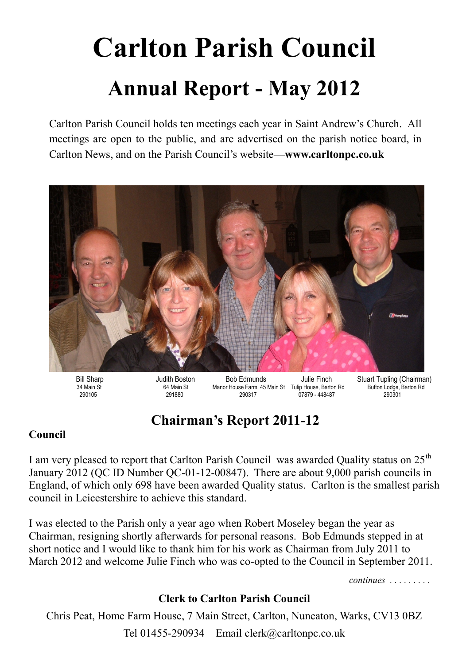# **Carlton Parish Council Annual Report - May 2012**

Carlton Parish Council holds ten meetings each year in Saint Andrew's Church. All meetings are open to the public, and are advertised on the parish notice board, in Carlton News, and on the Parish Council's website—**www.carltonpc.co.uk**



Bill Sharp **Judith Boston** Bob Edmunds Julie Finch Stuart Tupling (Chairman) 34 Main St 64 Main St Manor House Farm, 45 Main St Tulip House, Barton Rd Bufton Lodge, Barton Rd 290105 291880 290317 07879 - 448487 290301

## **Chairman's Report 2011-12**

#### **Council**

I am very pleased to report that Carlton Parish Council was awarded Quality status on 25<sup>th</sup> January 2012 (QC ID Number QC-01-12-00847). There are about 9,000 parish councils in England, of which only 698 have been awarded Quality status. Carlton is the smallest parish council in Leicestershire to achieve this standard.

I was elected to the Parish only a year ago when Robert Moseley began the year as Chairman, resigning shortly afterwards for personal reasons. Bob Edmunds stepped in at short notice and I would like to thank him for his work as Chairman from July 2011 to March 2012 and welcome Julie Finch who was co-opted to the Council in September 2011.

*continues . . . . . . . . .* 

#### **Clerk to Carlton Parish Council**

Chris Peat, Home Farm House, 7 Main Street, Carlton, Nuneaton, Warks, CV13 0BZ Tel 01455-290934 Email clerk@carltonpc.co.uk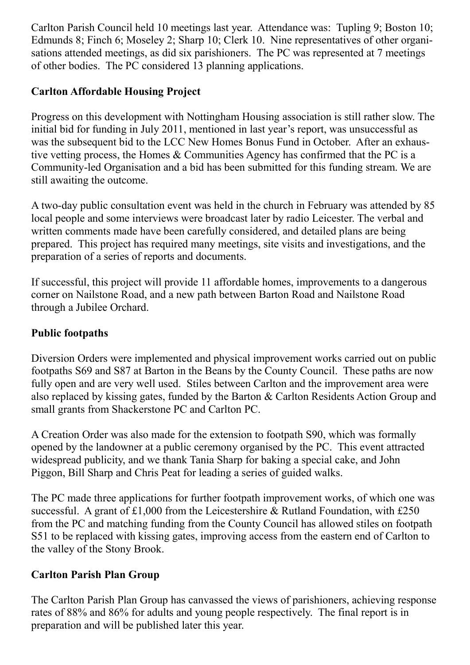Carlton Parish Council held 10 meetings last year. Attendance was: Tupling 9; Boston 10; Edmunds 8; Finch 6; Moseley 2; Sharp 10; Clerk 10. Nine representatives of other organisations attended meetings, as did six parishioners. The PC was represented at 7 meetings of other bodies. The PC considered 13 planning applications.

#### **Carlton Affordable Housing Project**

Progress on this development with Nottingham Housing association is still rather slow. The initial bid for funding in July 2011, mentioned in last year's report, was unsuccessful as was the subsequent bid to the LCC New Homes Bonus Fund in October. After an exhaustive vetting process, the Homes & Communities Agency has confirmed that the PC is a Community-led Organisation and a bid has been submitted for this funding stream. We are still awaiting the outcome.

A two-day public consultation event was held in the church in February was attended by 85 local people and some interviews were broadcast later by radio Leicester. The verbal and written comments made have been carefully considered, and detailed plans are being prepared. This project has required many meetings, site visits and investigations, and the preparation of a series of reports and documents.

If successful, this project will provide 11 affordable homes, improvements to a dangerous corner on Nailstone Road, and a new path between Barton Road and Nailstone Road through a Jubilee Orchard.

#### **Public footpaths**

Diversion Orders were implemented and physical improvement works carried out on public footpaths S69 and S87 at Barton in the Beans by the County Council. These paths are now fully open and are very well used. Stiles between Carlton and the improvement area were also replaced by kissing gates, funded by the Barton & Carlton Residents Action Group and small grants from Shackerstone PC and Carlton PC.

A Creation Order was also made for the extension to footpath S90, which was formally opened by the landowner at a public ceremony organised by the PC. This event attracted widespread publicity, and we thank Tania Sharp for baking a special cake, and John Piggon, Bill Sharp and Chris Peat for leading a series of guided walks.

The PC made three applications for further footpath improvement works, of which one was successful. A grant of  $£1,000$  from the Leicestershire & Rutland Foundation, with £250 from the PC and matching funding from the County Council has allowed stiles on footpath S51 to be replaced with kissing gates, improving access from the eastern end of Carlton to the valley of the Stony Brook.

#### **Carlton Parish Plan Group**

The Carlton Parish Plan Group has canvassed the views of parishioners, achieving response rates of 88% and 86% for adults and young people respectively. The final report is in preparation and will be published later this year.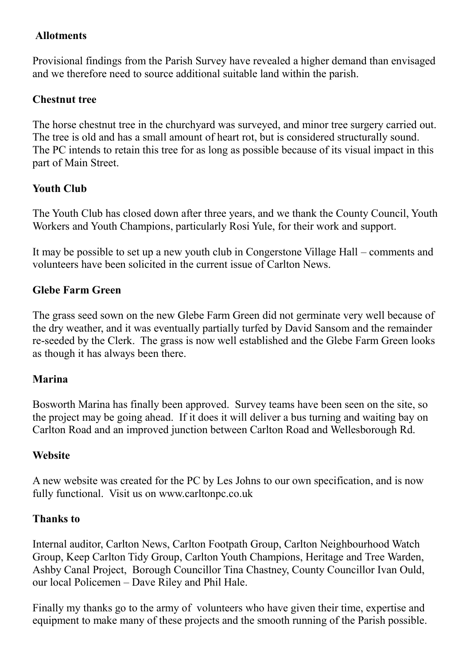#### **Allotments**

Provisional findings from the Parish Survey have revealed a higher demand than envisaged and we therefore need to source additional suitable land within the parish.

#### **Chestnut tree**

The horse chestnut tree in the churchyard was surveyed, and minor tree surgery carried out. The tree is old and has a small amount of heart rot, but is considered structurally sound. The PC intends to retain this tree for as long as possible because of its visual impact in this part of Main Street.

#### **Youth Club**

The Youth Club has closed down after three years, and we thank the County Council, Youth Workers and Youth Champions, particularly Rosi Yule, for their work and support.

It may be possible to set up a new youth club in Congerstone Village Hall – comments and volunteers have been solicited in the current issue of Carlton News.

#### **Glebe Farm Green**

The grass seed sown on the new Glebe Farm Green did not germinate very well because of the dry weather, and it was eventually partially turfed by David Sansom and the remainder re-seeded by the Clerk. The grass is now well established and the Glebe Farm Green looks as though it has always been there.

#### **Marina**

Bosworth Marina has finally been approved. Survey teams have been seen on the site, so the project may be going ahead. If it does it will deliver a bus turning and waiting bay on Carlton Road and an improved junction between Carlton Road and Wellesborough Rd.

#### **Website**

A new website was created for the PC by Les Johns to our own specification, and is now fully functional. Visit us on www.carltonpc.co.uk

#### **Thanks to**

Internal auditor, Carlton News, Carlton Footpath Group, Carlton Neighbourhood Watch Group, Keep Carlton Tidy Group, Carlton Youth Champions, Heritage and Tree Warden, Ashby Canal Project, Borough Councillor Tina Chastney, County Councillor Ivan Ould, our local Policemen – Dave Riley and Phil Hale.

Finally my thanks go to the army of volunteers who have given their time, expertise and equipment to make many of these projects and the smooth running of the Parish possible.